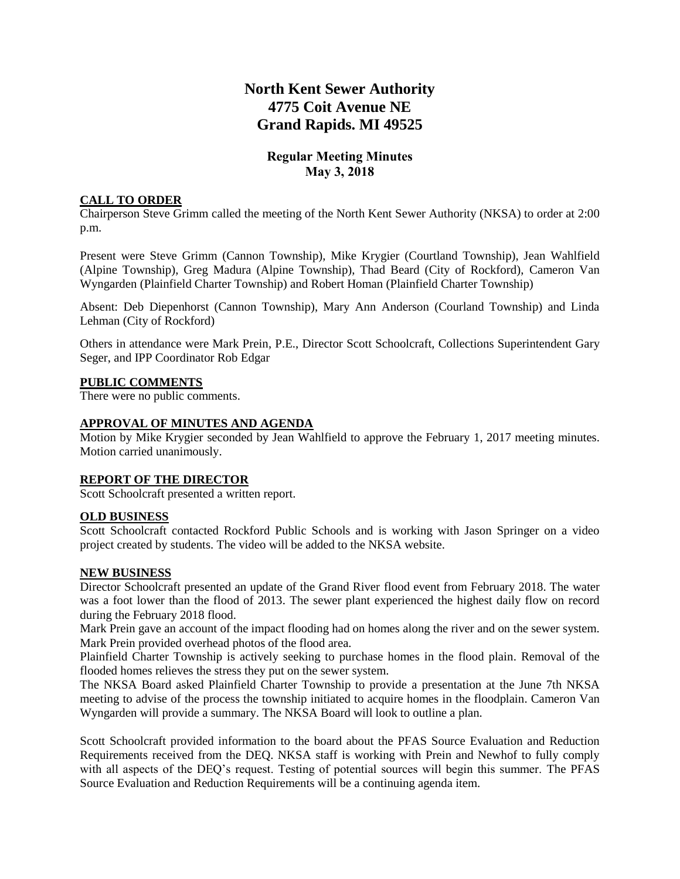# **North Kent Sewer Authority 4775 Coit Avenue NE Grand Rapids. MI 49525**

# **Regular Meeting Minutes May 3, 2018**

## **CALL TO ORDER**

Chairperson Steve Grimm called the meeting of the North Kent Sewer Authority (NKSA) to order at 2:00 p.m.

Present were Steve Grimm (Cannon Township), Mike Krygier (Courtland Township), Jean Wahlfield (Alpine Township), Greg Madura (Alpine Township), Thad Beard (City of Rockford), Cameron Van Wyngarden (Plainfield Charter Township) and Robert Homan (Plainfield Charter Township)

Absent: Deb Diepenhorst (Cannon Township), Mary Ann Anderson (Courland Township) and Linda Lehman (City of Rockford)

Others in attendance were Mark Prein, P.E., Director Scott Schoolcraft, Collections Superintendent Gary Seger, and IPP Coordinator Rob Edgar

#### **PUBLIC COMMENTS**

There were no public comments.

#### **APPROVAL OF MINUTES AND AGENDA**

Motion by Mike Krygier seconded by Jean Wahlfield to approve the February 1, 2017 meeting minutes. Motion carried unanimously.

#### **REPORT OF THE DIRECTOR**

Scott Schoolcraft presented a written report.

#### **OLD BUSINESS**

Scott Schoolcraft contacted Rockford Public Schools and is working with Jason Springer on a video project created by students. The video will be added to the NKSA website.

#### **NEW BUSINESS**

Director Schoolcraft presented an update of the Grand River flood event from February 2018. The water was a foot lower than the flood of 2013. The sewer plant experienced the highest daily flow on record during the February 2018 flood.

Mark Prein gave an account of the impact flooding had on homes along the river and on the sewer system. Mark Prein provided overhead photos of the flood area.

Plainfield Charter Township is actively seeking to purchase homes in the flood plain. Removal of the flooded homes relieves the stress they put on the sewer system.

The NKSA Board asked Plainfield Charter Township to provide a presentation at the June 7th NKSA meeting to advise of the process the township initiated to acquire homes in the floodplain. Cameron Van Wyngarden will provide a summary. The NKSA Board will look to outline a plan.

Scott Schoolcraft provided information to the board about the PFAS Source Evaluation and Reduction Requirements received from the DEQ. NKSA staff is working with Prein and Newhof to fully comply with all aspects of the DEQ's request. Testing of potential sources will begin this summer. The PFAS Source Evaluation and Reduction Requirements will be a continuing agenda item.